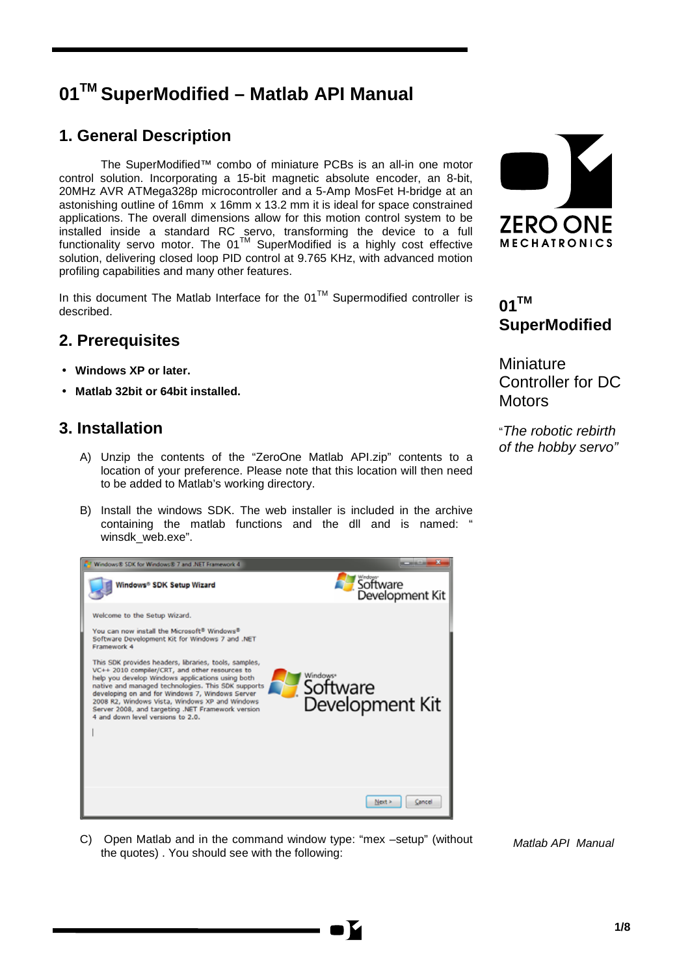# **01TM SuperModified – Matlab API Manual**

# <span id="page-0-0"></span>**1. General Description**

The SuperModified™ combo of miniature PCBs is an all-in one motor control solution. Incorporating a 15-bit magnetic absolute encoder, an 8-bit, 20MHz AVR ATMega328p microcontroller and a 5-Amp MosFet H-bridge at an astonishing outline of 16mm x 16mm x 13.2 mm it is ideal for space constrained applications. The overall dimensions allow for this motion control system to be installed inside a standard RC servo, transforming the device to a full functionality servo motor. The 01<sup>TM</sup> SuperModified is a highly cost effective solution, delivering closed loop PID control at 9.765 KHz, with advanced motion profiling capabilities and many other features.

In this document The Matlab Interface for the  $01^{TM}$  Supermodified controller is described.

# <span id="page-0-1"></span>**2. Prerequisites**

- **Windows XP or later.**
- **Matlab 32bit or 64bit installed.**

## <span id="page-0-2"></span>**3. Installation**

- A) Unzip the contents of the "ZeroOne Matlab API.zip" contents to a location of your preference. Please note that this location will then need to be added to Matlab's working directory.
- B) Install the windows SDK. The web installer is included in the archive containing the matlab functions and the dll and is named: " winsdk\_web.exe".



C) Open Matlab and in the command window type: "mex –setup" (without the quotes) . You should see with the following:



# **01TM SuperModified**

**Miniature** Controller for DC **Motors** 

"*The robotic rebirth of the hobby servo"*

*Matlab API Manual*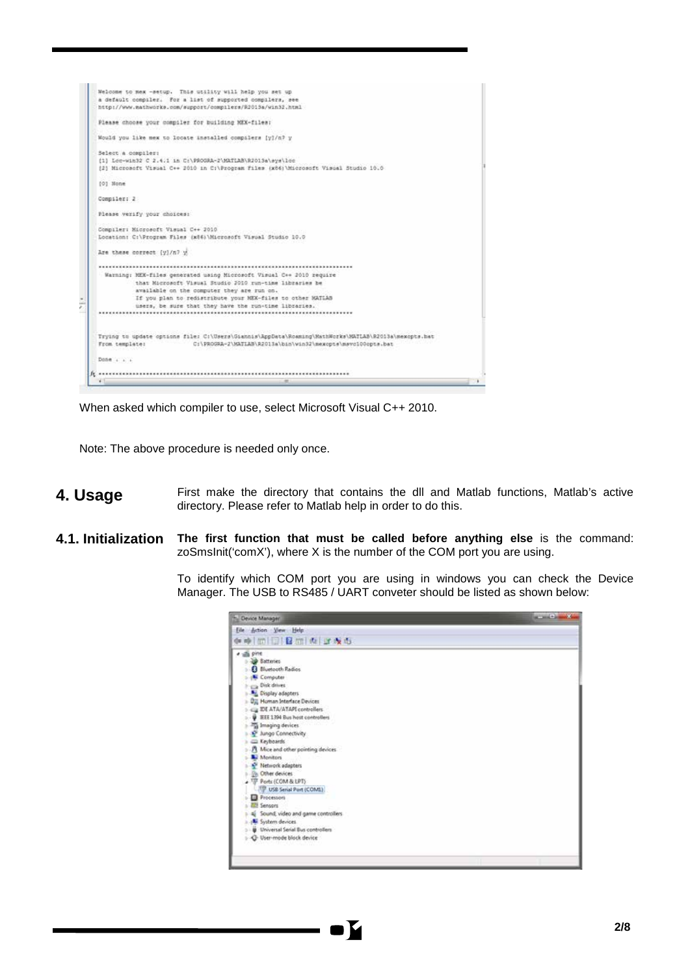

When asked which compiler to use, select Microsoft Visual C++ 2010.

Note: The above procedure is needed only once.

- <span id="page-1-0"></span>**4. Usage** First make the directory that contains the dll and Matlab functions, Matlab's active directory. Please refer to Matlab help in order to do this.
- <span id="page-1-1"></span>**4.1. Initialization The first function that must be called before anything else** is the command: zoSmsInit('comX'), where X is the number of the COM port you are using.

To identify which COM port you are using in windows you can check the Device Manager. The USB to RS485 / UART conveter should be listed as shown below:

| Device Manager                       | <b>State of the Contract of the Contract of the Contract of the Contract of the Contract of the Contract of the Contract of the Contract of the Contract of the Contract of the Contract of the Contract of the Contract of the </b> |
|--------------------------------------|--------------------------------------------------------------------------------------------------------------------------------------------------------------------------------------------------------------------------------------|
| Eile Action View Help                |                                                                                                                                                                                                                                      |
| 中華 的门门 目前 肉 正表布                      |                                                                                                                                                                                                                                      |
| di pine                              |                                                                                                                                                                                                                                      |
| Batteries                            |                                                                                                                                                                                                                                      |
| <b>B</b> Bluetooth Radios            |                                                                                                                                                                                                                                      |
| <b>K</b> Computer                    |                                                                                                                                                                                                                                      |
| Disk drives                          |                                                                                                                                                                                                                                      |
| - AL Display adapters                |                                                                                                                                                                                                                                      |
| <b>Dig Homan Interface Devices</b>   |                                                                                                                                                                                                                                      |
| Cia EN ATA/ATAPI controllers         |                                                                                                                                                                                                                                      |
| EEE 1394 Bus host controllers        |                                                                                                                                                                                                                                      |
| - Imaging devices                    |                                                                                                                                                                                                                                      |
| A <sup>P</sup> Jungo Connectivity    |                                                                                                                                                                                                                                      |
| C Keyboards                          |                                                                                                                                                                                                                                      |
| A Mice and other pointing devices    |                                                                                                                                                                                                                                      |
| <b>A.</b> Monitors                   |                                                                                                                                                                                                                                      |
| Network adapters                     |                                                                                                                                                                                                                                      |
| <b>Div Other devices</b>             |                                                                                                                                                                                                                                      |
| TP Ports (COM & LPT)                 |                                                                                                                                                                                                                                      |
| <sup>17</sup> USB Serial Port (COML) |                                                                                                                                                                                                                                      |
| Processors                           |                                                                                                                                                                                                                                      |
| <b>El Sensors</b>                    |                                                                                                                                                                                                                                      |
| Sound, video and game controllers    |                                                                                                                                                                                                                                      |
| System devices                       |                                                                                                                                                                                                                                      |
| Universal Serial Bus controllers     |                                                                                                                                                                                                                                      |
| C User-mode block device             |                                                                                                                                                                                                                                      |
|                                      |                                                                                                                                                                                                                                      |
|                                      |                                                                                                                                                                                                                                      |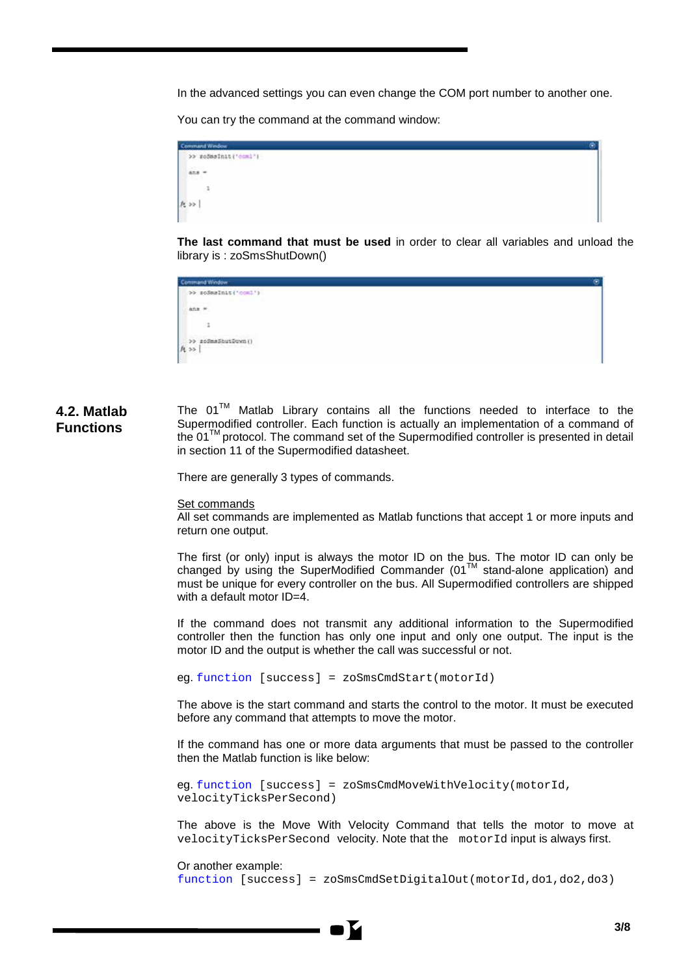In the advanced settings you can even change the COM port number to another one.

You can try the command at the command window:



**The last command that must be used** in order to clear all variables and unload the library is : zoSmsShutDown()



<span id="page-2-0"></span>**4.2. Matlab Functions** The  $01^{\text{TM}}$  Matlab Library contains all the functions needed to interface to the Supermodified controller. Each function is actually an implementation of a command of the  $01^{TM}$  protocol. The command set of the Supermodified controller is presented in detail in section 11 of the Supermodified datasheet.

There are generally 3 types of commands.

### Set commands

All set commands are implemented as Matlab functions that accept 1 or more inputs and return one output.

The first (or only) input is always the motor ID on the bus. The motor ID can only be changed by using the SuperModified Commander  $(01<sup>TM</sup>$  stand-alone application) and must be unique for every controller on the bus. All Supermodified controllers are shipped with a default motor ID=4.

If the command does not transmit any additional information to the Supermodified controller then the function has only one input and only one output. The input is the motor ID and the output is whether the call was successful or not.

eg. function [success] = zoSmsCmdStart(motorId)

The above is the start command and starts the control to the motor. It must be executed before any command that attempts to move the motor.

If the command has one or more data arguments that must be passed to the controller then the Matlab function is like below:

eg. function [success] = zoSmsCmdMoveWithVelocity(motorId, velocityTicksPerSecond)

The above is the Move With Velocity Command that tells the motor to move at velocityTicksPerSecond velocity. Note that the motorId input is always first.

Or another example: function [success] = zoSmsCmdSetDigitalOut(motorId,do1,do2,do3)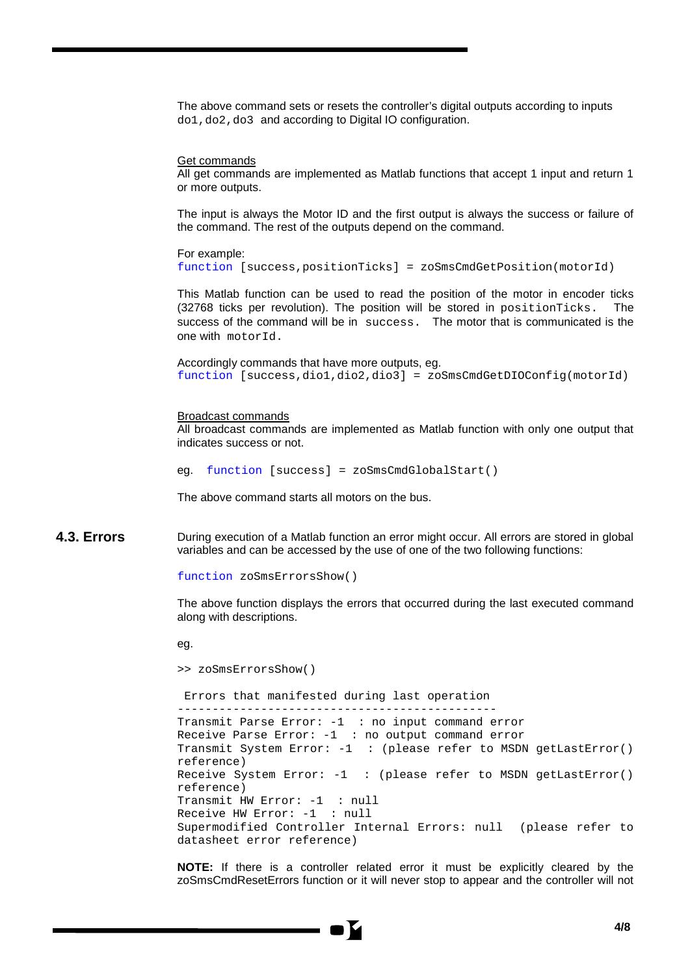The above command sets or resets the controller's digital outputs according to inputs do1,do2,do3 and according to Digital IO configuration.

### Get commands

All get commands are implemented as Matlab functions that accept 1 input and return 1 or more outputs.

The input is always the Motor ID and the first output is always the success or failure of the command. The rest of the outputs depend on the command.

For example:

```
function [success,positionTicks] = zoSmsCmdGetPosition(motorId)
```
This Matlab function can be used to read the position of the motor in encoder ticks (32768 ticks per revolution). The position will be stored in positionTicks. The success of the command will be in success. The motor that is communicated is the one with motorId.

Accordingly commands that have more outputs, eg. function [success,dio1,dio2,dio3] = zoSmsCmdGetDIOConfig(motorId)

### Broadcast commands

All broadcast commands are implemented as Matlab function with only one output that indicates success or not.

```
eg. function [success] = zoSmsCmdGlobalStart()
```
The above command starts all motors on the bus.

<span id="page-3-0"></span>**4.3. Errors** During execution of a Matlab function an error might occur. All errors are stored in global variables and can be accessed by the use of one of the two following functions:

function zoSmsErrorsShow()

The above function displays the errors that occurred during the last executed command along with descriptions.

eg.

```
>> zoSmsErrorsShow()
```
Errors that manifested during last operation ---------------------------------------------- Transmit Parse Error: -1 : no input command error Receive Parse Error: -1 : no output command error Transmit System Error: -1 : (please refer to MSDN getLastError() reference) Receive System Error: -1 : (please refer to MSDN getLastError() reference) Transmit HW Error: -1 : null Receive HW Error: -1 : null Supermodified Controller Internal Errors: null (please refer to datasheet error reference)

**NOTE:** If there is a controller related error it must be explicitly cleared by the zoSmsCmdResetErrors function or it will never stop to appear and the controller will not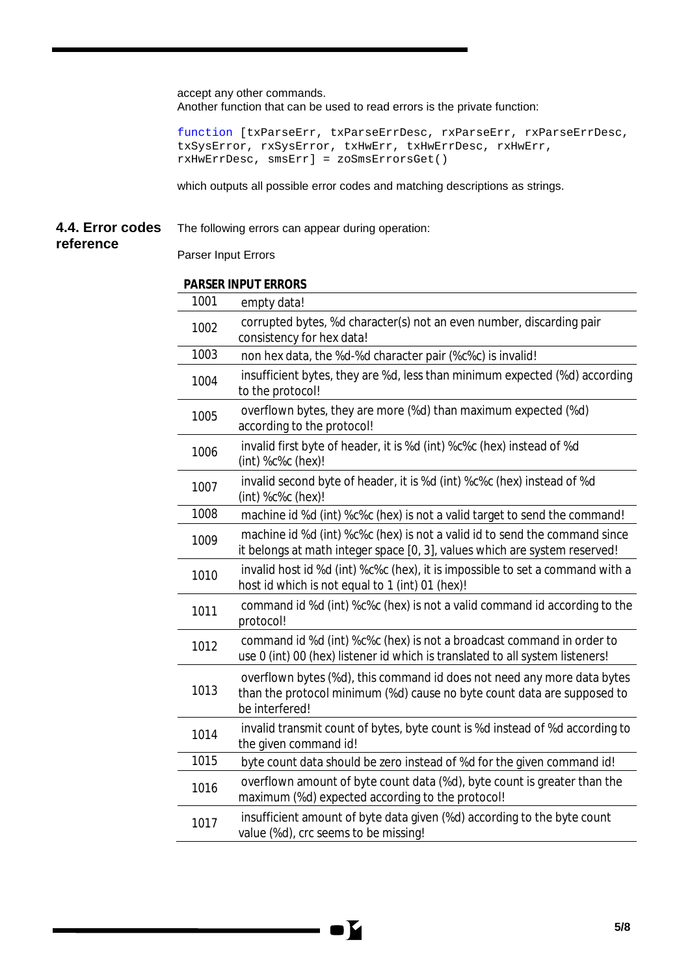accept any other commands. Another function that can be used to read errors is the private function:

function [txParseErr, txParseErrDesc, rxParseErr, rxParseErrDesc, txSysError, rxSysError, txHwErr, txHwErrDesc, rxHwErr, rxHwErrDesc, smsErr] = zoSmsErrorsGet()

which outputs all possible error codes and matching descriptions as strings.

#### <span id="page-4-0"></span>**4.4. Error codes**  The following errors can appear during operation:

### **reference**

Parser Input Errors

### **PARSER INPUT ERRORS**

| 1001 | empty data!                                                                                                                                                          |
|------|----------------------------------------------------------------------------------------------------------------------------------------------------------------------|
| 1002 | corrupted bytes, %d character(s) not an even number, discarding pair<br>consistency for hex data!                                                                    |
| 1003 | non hex data, the %d-%d character pair (%c%c) is invalid!                                                                                                            |
| 1004 | insufficient bytes, they are %d, less than minimum expected (%d) according<br>to the protocol!                                                                       |
| 1005 | overflown bytes, they are more (%d) than maximum expected (%d)<br>according to the protocol!                                                                         |
| 1006 | invalid first byte of header, it is %d (int) %c%c (hex) instead of %d<br>(int) %c%c (hex)!                                                                           |
| 1007 | invalid second byte of header, it is %d (int) %c%c (hex) instead of %d<br>$(int)$ % $c$ % $c$ (hex)!                                                                 |
| 1008 | machine id %d (int) %c%c (hex) is not a valid target to send the command!                                                                                            |
| 1009 | machine id %d (int) %c%c (hex) is not a valid id to send the command since<br>it belongs at math integer space [0, 3], values which are system reserved!             |
| 1010 | invalid host id %d (int) %c%c (hex), it is impossible to set a command with a<br>host id which is not equal to 1 (int) 01 (hex)!                                     |
| 1011 | command id %d (int) %c%c (hex) is not a valid command id according to the<br>protocol!                                                                               |
| 1012 | command id %d (int) %c%c (hex) is not a broadcast command in order to<br>use 0 (int) 00 (hex) listener id which is translated to all system listeners!               |
| 1013 | overflown bytes (%d), this command id does not need any more data bytes<br>than the protocol minimum (%d) cause no byte count data are supposed to<br>be interfered! |
| 1014 | invalid transmit count of bytes, byte count is %d instead of %d according to<br>the given command id!                                                                |
| 1015 | byte count data should be zero instead of %d for the given command id!                                                                                               |
| 1016 | overflown amount of byte count data (%d), byte count is greater than the<br>maximum (%d) expected according to the protocol!                                         |
| 1017 | insufficient amount of byte data given (%d) according to the byte count<br>value (%d), crc seems to be missing!                                                      |

K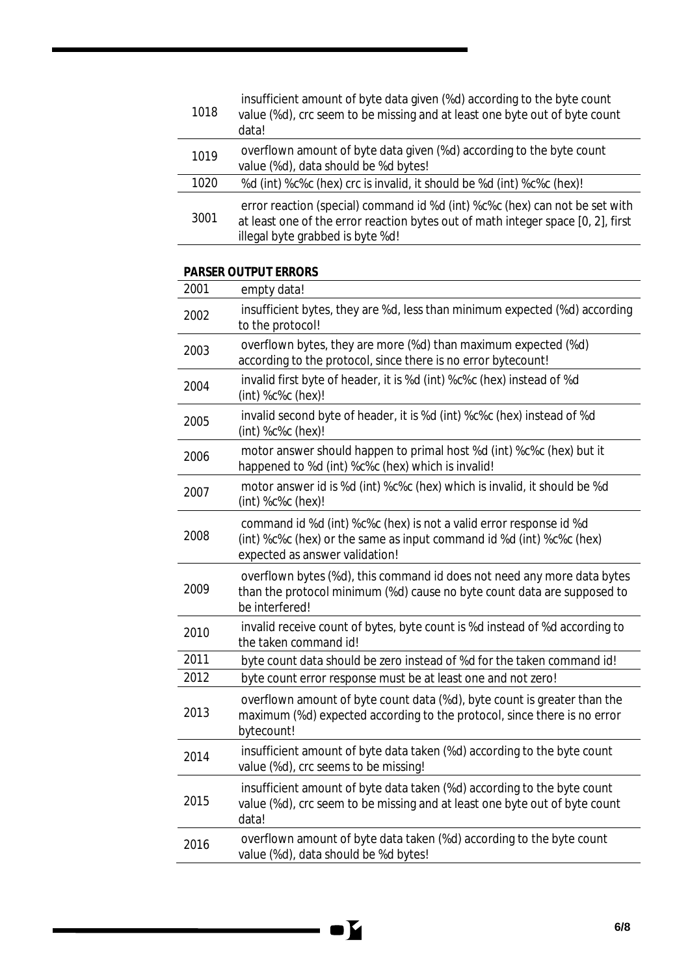| 1018 | insufficient amount of byte data given (%d) according to the byte count<br>value (%d), crc seem to be missing and at least one byte out of byte count<br>data!                                      |
|------|-----------------------------------------------------------------------------------------------------------------------------------------------------------------------------------------------------|
| 1019 | overflown amount of byte data given (%d) according to the byte count<br>value (%d), data should be %d bytes!                                                                                        |
| 1020 | %d (int) %c%c (hex) crc is invalid, it should be %d (int) %c%c (hex)!                                                                                                                               |
| 3001 | error reaction (special) command id %d (int) %c%c (hex) can not be set with<br>at least one of the error reaction bytes out of math integer space [0, 2], first<br>illegal byte grabbed is byte %d! |

### **PARSER OUTPUT ERRORS**

| 2001 | empty data!                                                                                                                                                                  |
|------|------------------------------------------------------------------------------------------------------------------------------------------------------------------------------|
| 2002 | insufficient bytes, they are %d, less than minimum expected (%d) according<br>to the protocol!                                                                               |
| 2003 | overflown bytes, they are more (%d) than maximum expected (%d)<br>according to the protocol, since there is no error bytecount!                                              |
| 2004 | invalid first byte of header, it is %d (int) %c%c (hex) instead of %d<br>(int) %c%c (hex)!                                                                                   |
| 2005 | invalid second byte of header, it is %d (int) %c%c (hex) instead of %d<br>(int) %c%c (hex)!                                                                                  |
| 2006 | motor answer should happen to primal host %d (int) %c%c (hex) but it<br>happened to %d (int) %c%c (hex) which is invalid!                                                    |
| 2007 | motor answer id is %d (int) %c%c (hex) which is invalid, it should be %d<br>(int) %c%c (hex)!                                                                                |
| 2008 | command id %d (int) %c%c (hex) is not a valid error response id %d<br>(int) %c%c (hex) or the same as input command id %d (int) %c%c (hex)<br>expected as answer validation! |
| 2009 | overflown bytes (%d), this command id does not need any more data bytes<br>than the protocol minimum (%d) cause no byte count data are supposed to<br>be interfered!         |
| 2010 | invalid receive count of bytes, byte count is %d instead of %d according to<br>the taken command id!                                                                         |
| 2011 | byte count data should be zero instead of %d for the taken command id!                                                                                                       |
| 2012 | byte count error response must be at least one and not zero!                                                                                                                 |
| 2013 | overflown amount of byte count data (%d), byte count is greater than the<br>maximum (%d) expected according to the protocol, since there is no error<br>bytecount!           |
| 2014 | insufficient amount of byte data taken (%d) according to the byte count<br>value (%d), crc seems to be missing!                                                              |
| 2015 | insufficient amount of byte data taken (%d) according to the byte count<br>value (%d), crc seem to be missing and at least one byte out of byte count<br>data!               |
| 2016 | overflown amount of byte data taken (%d) according to the byte count<br>value (%d), data should be %d bytes!                                                                 |

 $\mathbf{Y}$  $\sim$  $\blacksquare$ 

 $\overline{\phantom{a}}$ ÷,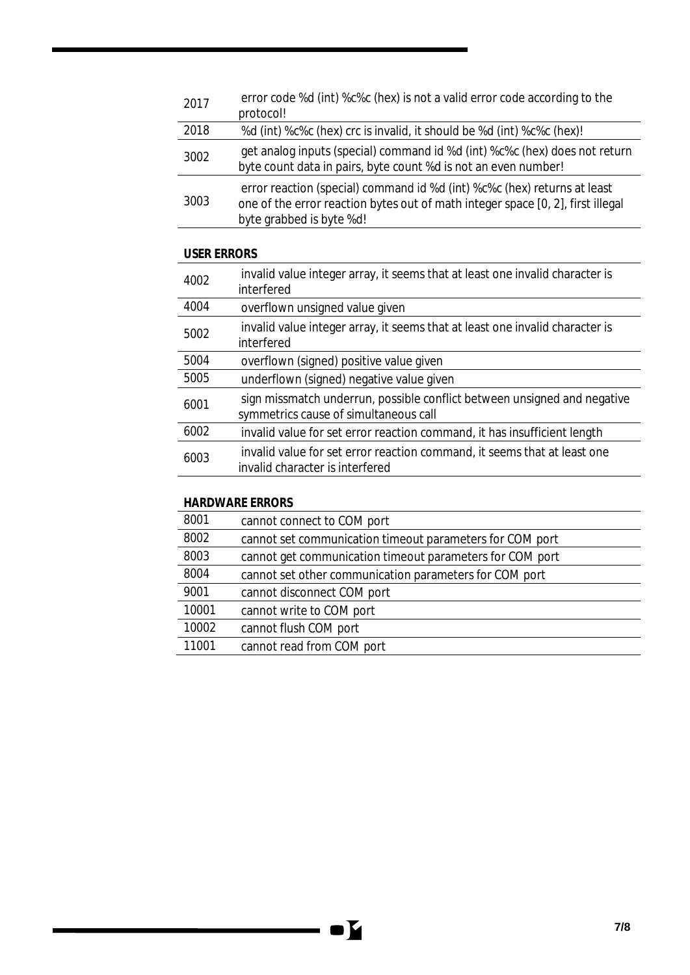| 2017 | error code %d (int) %c%c (hex) is not a valid error code according to the<br>protocol!                                                                                                  |
|------|-----------------------------------------------------------------------------------------------------------------------------------------------------------------------------------------|
| 2018 | %d (int) %c%c (hex) crc is invalid, it should be %d (int) %c%c (hex)!                                                                                                                   |
| 3002 | get analog inputs (special) command id %d (int) %c%c (hex) does not return<br>byte count data in pairs, byte count %d is not an even number!                                            |
| 3003 | error reaction (special) command id %d (int) %c%c (hex) returns at least<br>one of the error reaction bytes out of math integer space [0, 2], first illegal<br>byte grabbed is byte %d! |

## **USER ERRORS**

| 4002 | invalid value integer array, it seems that at least one invalid character is<br>interfered                        |
|------|-------------------------------------------------------------------------------------------------------------------|
| 4004 | overflown unsigned value given                                                                                    |
| 5002 | invalid value integer array, it seems that at least one invalid character is<br>interfered                        |
| 5004 | overflown (signed) positive value given                                                                           |
| 5005 | underflown (signed) negative value given                                                                          |
| 6001 | sign missmatch underrun, possible conflict between unsigned and negative<br>symmetrics cause of simultaneous call |
| 6002 | invalid value for set error reaction command, it has insufficient length                                          |
| 6003 | invalid value for set error reaction command, it seems that at least one<br>invalid character is interfered       |

## **HARDWARE ERRORS**

| 8001  | cannot connect to COM port                               |
|-------|----------------------------------------------------------|
| 8002  | cannot set communication timeout parameters for COM port |
| 8003  | cannot get communication timeout parameters for COM port |
| 8004  | cannot set other communication parameters for COM port   |
| 9001  | cannot disconnect COM port                               |
| 10001 | cannot write to COM port                                 |
| 10002 | cannot flush COM port                                    |
| 11001 | cannot read from COM port                                |

Y

 $\blacksquare$  (